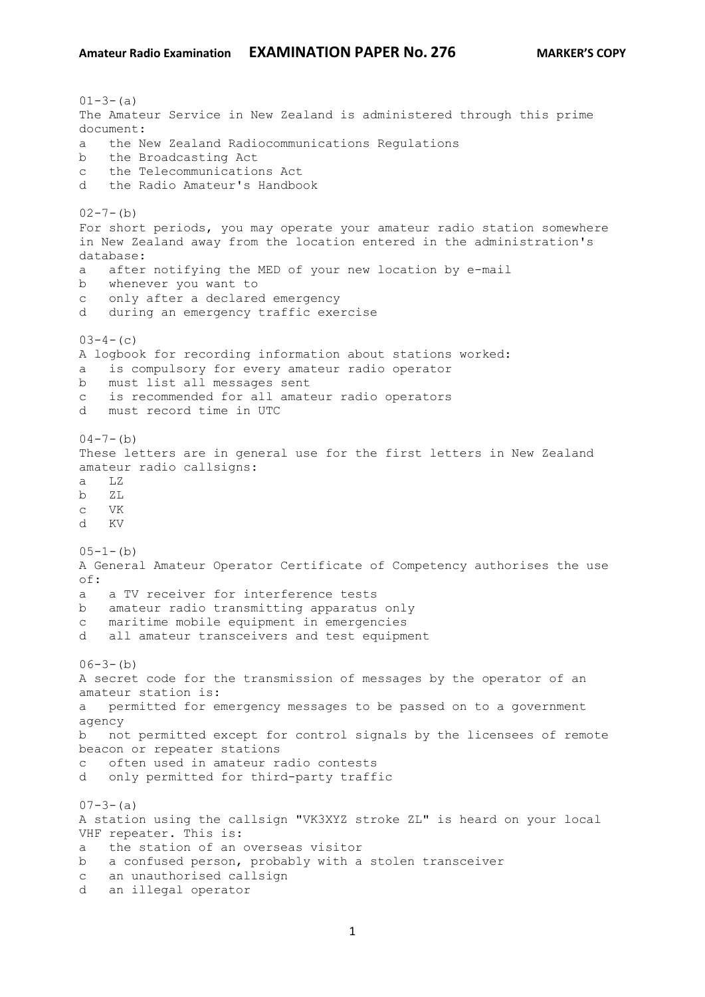## **Amateur Radio Examination EXAMINATION PAPER No. 276 MARKER'S COPY**

 $01-3-(a)$ The Amateur Service in New Zealand is administered through this prime document: a the New Zealand Radiocommunications Regulations b the Broadcasting Act c the Telecommunications Act d the Radio Amateur's Handbook  $02 - 7 - (b)$ For short periods, you may operate your amateur radio station somewhere in New Zealand away from the location entered in the administration's database: a after notifying the MED of your new location by e-mail b whenever you want to c only after a declared emergency d during an emergency traffic exercise  $03-4-$  (c) A logbook for recording information about stations worked: a is compulsory for every amateur radio operator b must list all messages sent c is recommended for all amateur radio operators d must record time in UTC  $04-7-(b)$ These letters are in general use for the first letters in New Zealand amateur radio callsigns: a LZ b ZL c VK d KV  $05-1-(b)$ A General Amateur Operator Certificate of Competency authorises the use  $\cap$  f  $\cdot$ a a TV receiver for interference tests b amateur radio transmitting apparatus only c maritime mobile equipment in emergencies d all amateur transceivers and test equipment  $06-3-(b)$ A secret code for the transmission of messages by the operator of an amateur station is: a permitted for emergency messages to be passed on to a government agency b not permitted except for control signals by the licensees of remote beacon or repeater stations c often used in amateur radio contests d only permitted for third-party traffic  $07-3-(a)$ A station using the callsign "VK3XYZ stroke ZL" is heard on your local VHF repeater. This is: a the station of an overseas visitor b a confused person, probably with a stolen transceiver c an unauthorised callsign d an illegal operator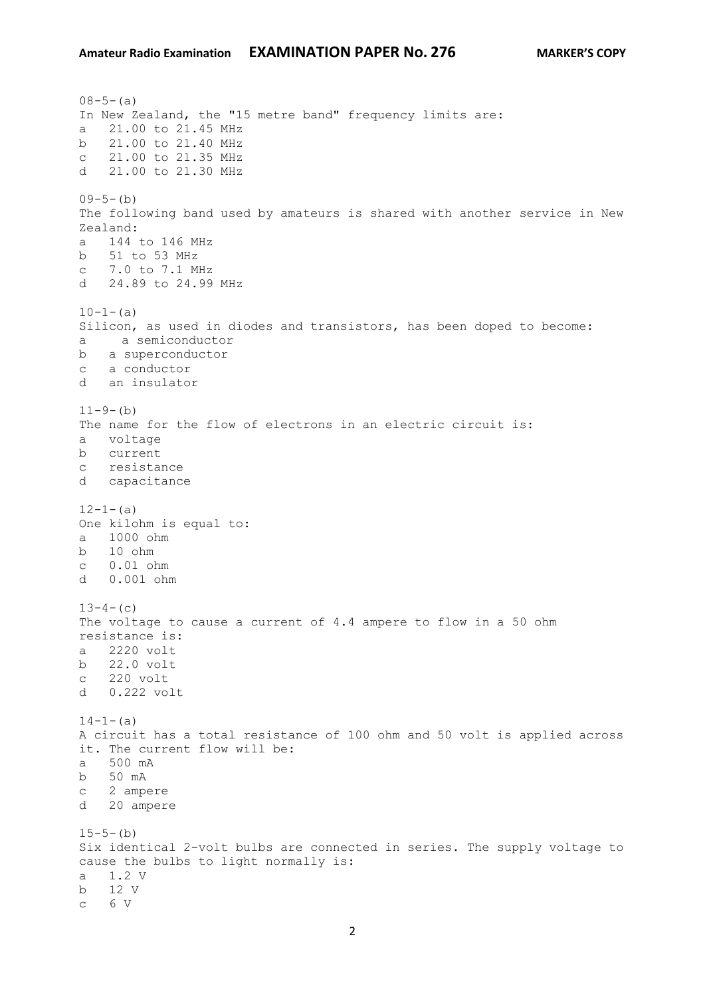$08-5-(a)$ In New Zealand, the "15 metre band" frequency limits are: a 21.00 to 21.45 MHz b 21.00 to 21.40 MHz c 21.00 to 21.35 MHz d 21.00 to 21.30 MHz  $09-5-(b)$ The following band used by amateurs is shared with another service in New Zealand: a 144 to 146 MHz b 51 to 53 MHz c 7.0 to 7.1 MHz d 24.89 to 24.99 MHz  $10-1-(a)$ Silicon, as used in diodes and transistors, has been doped to become: a a semiconductor b a superconductor c a conductor d an insulator  $11-9-(b)$ The name for the flow of electrons in an electric circuit is: a voltage b current c resistance d capacitance  $12-1-(a)$ One kilohm is equal to: a 1000 ohm b 10 ohm c 0.01 ohm d 0.001 ohm  $13-4-$  (c) The voltage to cause a current of 4.4 ampere to flow in a 50 ohm resistance is: a 2220 volt b 22.0 volt c 220 volt d 0.222 volt  $14-1-(a)$ A circuit has a total resistance of 100 ohm and 50 volt is applied across it. The current flow will be: a 500 mA b 50 mA c 2 ampere d 20 ampere  $15-5-(b)$ Six identical 2-volt bulbs are connected in series. The supply voltage to cause the bulbs to light normally is: a 1.2 V b 12 V c 6 V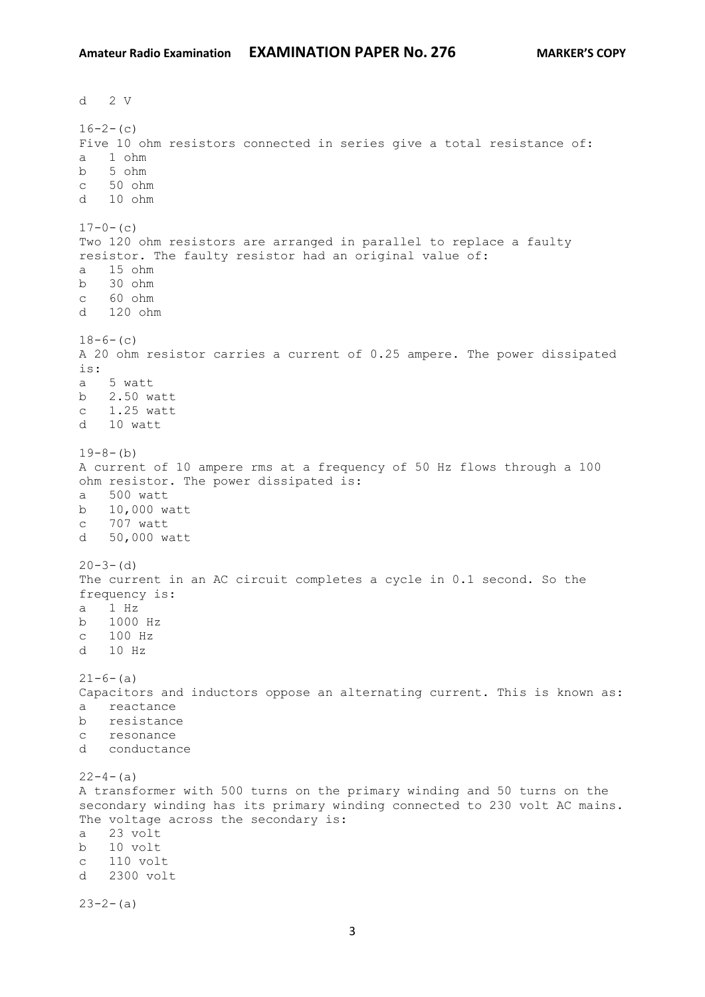d 2 V  $16-2-$  (c) Five 10 ohm resistors connected in series give a total resistance of: a 1 ohm b 5 ohm c 50 ohm d 10 ohm  $17-0-$  (c) Two 120 ohm resistors are arranged in parallel to replace a faulty resistor. The faulty resistor had an original value of: a 15 ohm b 30 ohm c 60 ohm d 120 ohm  $18-6-$  (c) A 20 ohm resistor carries a current of 0.25 ampere. The power dissipated is: a 5 watt b 2.50 watt c 1.25 watt d 10 watt  $19-8-(b)$ A current of 10 ampere rms at a frequency of 50 Hz flows through a 100 ohm resistor. The power dissipated is: a 500 watt b 10,000 watt c 707 watt d 50,000 watt  $20 - 3 - (d)$ The current in an AC circuit completes a cycle in 0.1 second. So the frequency is: a 1 Hz b 1000 Hz c 100 Hz d 10 Hz  $21-6-(a)$ Capacitors and inductors oppose an alternating current. This is known as: a reactance b resistance c resonance d conductance  $22-4-(a)$ A transformer with 500 turns on the primary winding and 50 turns on the secondary winding has its primary winding connected to 230 volt AC mains. The voltage across the secondary is: a 23 volt b 10 volt c 110 volt d 2300 volt  $23-2-(a)$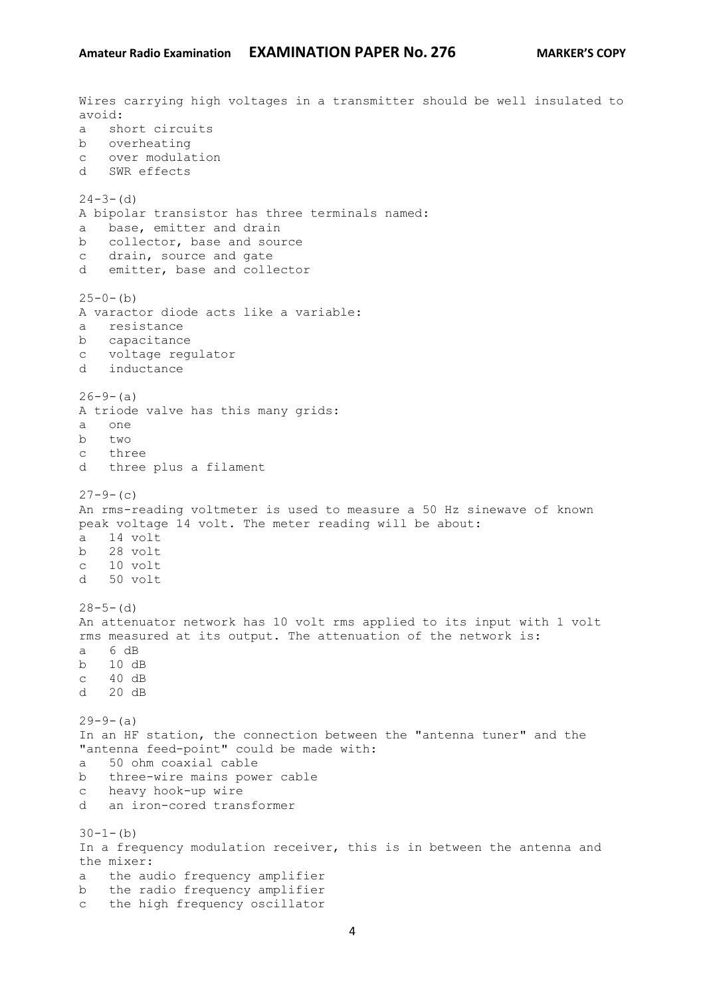Wires carrying high voltages in a transmitter should be well insulated to avoid: a short circuits b overheating c over modulation d SWR effects  $24-3-$  (d) A bipolar transistor has three terminals named: a base, emitter and drain b collector, base and source c drain, source and gate d emitter, base and collector  $25-0-(b)$ A varactor diode acts like a variable: a resistance b capacitance c voltage regulator d inductance  $26 - 9 - (a)$ A triode valve has this many grids: a one b two c three d three plus a filament  $27-9-$  (c) An rms-reading voltmeter is used to measure a 50 Hz sinewave of known peak voltage 14 volt. The meter reading will be about: a 14 volt b 28 volt c 10 volt d 50 volt  $28 - 5 - (d)$ An attenuator network has 10 volt rms applied to its input with 1 volt rms measured at its output. The attenuation of the network is: a 6 dB b 10 dB c 40 dB d 20 dB  $29-9-(a)$ In an HF station, the connection between the "antenna tuner" and the "antenna feed-point" could be made with: a 50 ohm coaxial cable b three-wire mains power cable c heavy hook-up wire d an iron-cored transformer  $30-1-(b)$ In a frequency modulation receiver, this is in between the antenna and the mixer: a the audio frequency amplifier b the radio frequency amplifier c the high frequency oscillator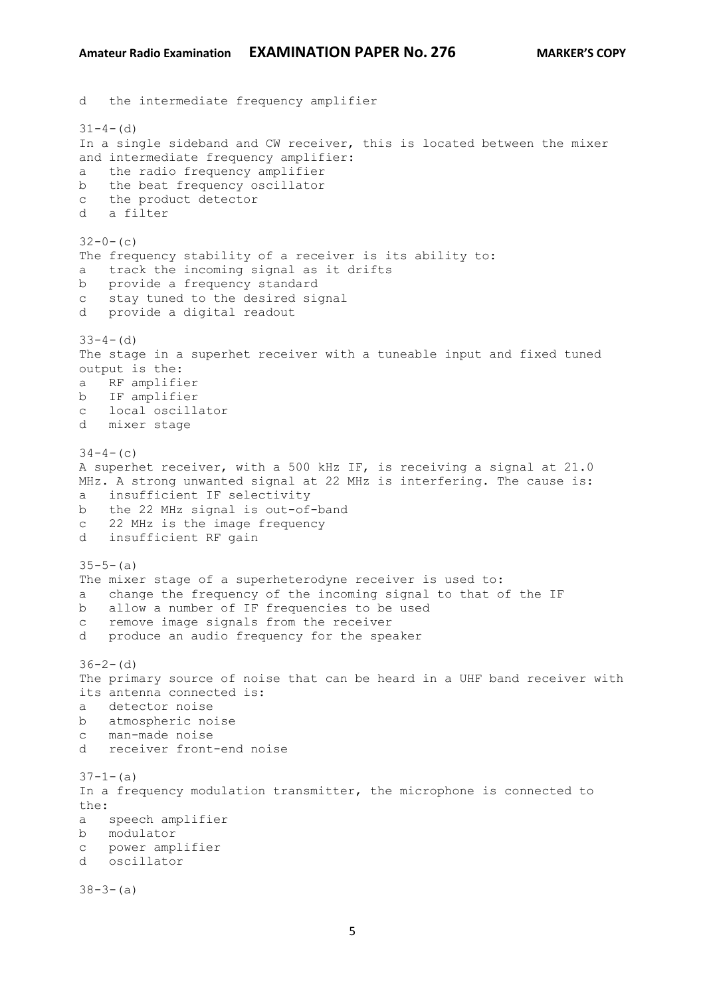d the intermediate frequency amplifier  $31-4-$  (d) In a single sideband and CW receiver, this is located between the mixer and intermediate frequency amplifier: a the radio frequency amplifier b the beat frequency oscillator c the product detector d a filter  $32-0-(c)$ The frequency stability of a receiver is its ability to: a track the incoming signal as it drifts b provide a frequency standard c stay tuned to the desired signal d provide a digital readout  $33-4-$  (d) The stage in a superhet receiver with a tuneable input and fixed tuned output is the: a RF amplifier b IF amplifier c local oscillator d mixer stage  $34-4-$  (c) A superhet receiver, with a 500 kHz IF, is receiving a signal at 21.0 MHz. A strong unwanted signal at 22 MHz is interfering. The cause is: a insufficient IF selectivity b the 22 MHz signal is out-of-band c 22 MHz is the image frequency d insufficient RF gain  $35 - 5 - (a)$ The mixer stage of a superheterodyne receiver is used to: a change the frequency of the incoming signal to that of the IF b allow a number of IF frequencies to be used c remove image signals from the receiver d produce an audio frequency for the speaker  $36 - 2 - (d)$ The primary source of noise that can be heard in a UHF band receiver with its antenna connected is: a detector noise b atmospheric noise c man-made noise d receiver front-end noise  $37-1-(a)$ In a frequency modulation transmitter, the microphone is connected to the: a speech amplifier b modulator c power amplifier d oscillator  $38-3-(a)$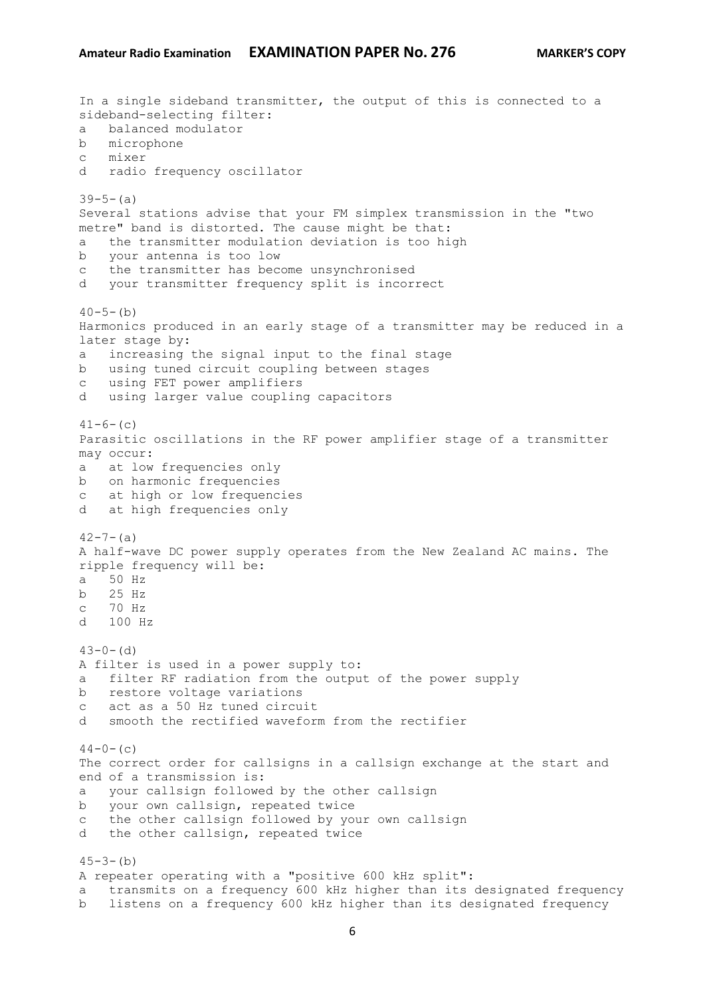```
In a single sideband transmitter, the output of this is connected to a 
sideband-selecting filter:
a balanced modulator
b microphone
c mixer
d radio frequency oscillator
39-5-(a)Several stations advise that your FM simplex transmission in the "two 
metre" band is distorted. The cause might be that:
a the transmitter modulation deviation is too high
b your antenna is too low
c the transmitter has become unsynchronised
d your transmitter frequency split is incorrect
40-5-(b)Harmonics produced in an early stage of a transmitter may be reduced in a 
later stage by:
a increasing the signal input to the final stage
b using tuned circuit coupling between stages
c using FET power amplifiers
d using larger value coupling capacitors
41-6- (c)
Parasitic oscillations in the RF power amplifier stage of a transmitter 
may occur:
a at low frequencies only
b on harmonic frequencies
c at high or low frequencies
d at high frequencies only
42 - 7 - (a)A half-wave DC power supply operates from the New Zealand AC mains. The 
ripple frequency will be:
a 50 Hz
b 25 Hz
c 70 Hz
d 100 Hz
43-0- (d)
A filter is used in a power supply to:
a filter RF radiation from the output of the power supply
b restore voltage variations
c act as a 50 Hz tuned circuit
d smooth the rectified waveform from the rectifier
44-0- (c)
The correct order for callsigns in a callsign exchange at the start and 
end of a transmission is:
a your callsign followed by the other callsign
b your own callsign, repeated twice
c the other callsign followed by your own callsign
d the other callsign, repeated twice
45-3-(b)A repeater operating with a "positive 600 kHz split":
a transmits on a frequency 600 kHz higher than its designated frequency
b listens on a frequency 600 kHz higher than its designated frequency
```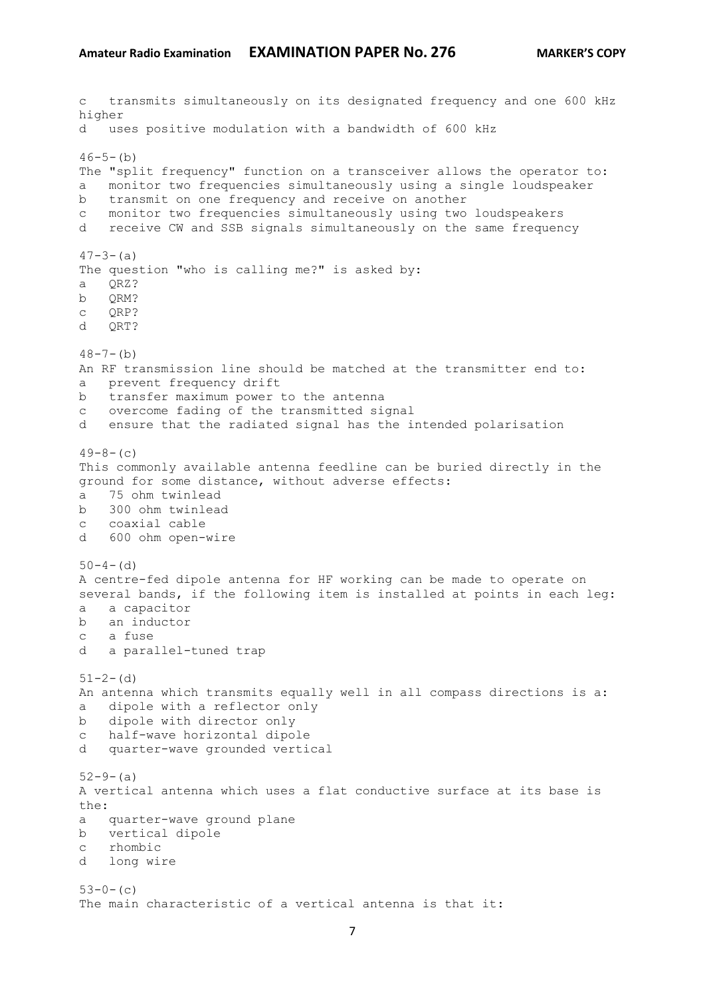c transmits simultaneously on its designated frequency and one 600 kHz higher d uses positive modulation with a bandwidth of 600 kHz  $46 - 5 - (b)$ The "split frequency" function on a transceiver allows the operator to: a monitor two frequencies simultaneously using a single loudspeaker b transmit on one frequency and receive on another c monitor two frequencies simultaneously using two loudspeakers d receive CW and SSB signals simultaneously on the same frequency  $47 - 3 - (a)$ The question "who is calling me?" is asked by: a QRZ? b QRM? c QRP? d QRT?  $48 - 7 - (b)$ An RF transmission line should be matched at the transmitter end to: a prevent frequency drift b transfer maximum power to the antenna c overcome fading of the transmitted signal d ensure that the radiated signal has the intended polarisation  $49-8-$  (c) This commonly available antenna feedline can be buried directly in the ground for some distance, without adverse effects: a 75 ohm twinlead b 300 ohm twinlead c coaxial cable d 600 ohm open-wire  $50-4-(d)$ A centre-fed dipole antenna for HF working can be made to operate on several bands, if the following item is installed at points in each leg: a a capacitor b an inductor c a fuse d a parallel-tuned trap  $51 - 2 - (d)$ An antenna which transmits equally well in all compass directions is a: a dipole with a reflector only b dipole with director only c half-wave horizontal dipole d quarter-wave grounded vertical  $52-9-(a)$ A vertical antenna which uses a flat conductive surface at its base is the: a quarter-wave ground plane b vertical dipole c rhombic d long wire  $53-0-$  (c) The main characteristic of a vertical antenna is that it: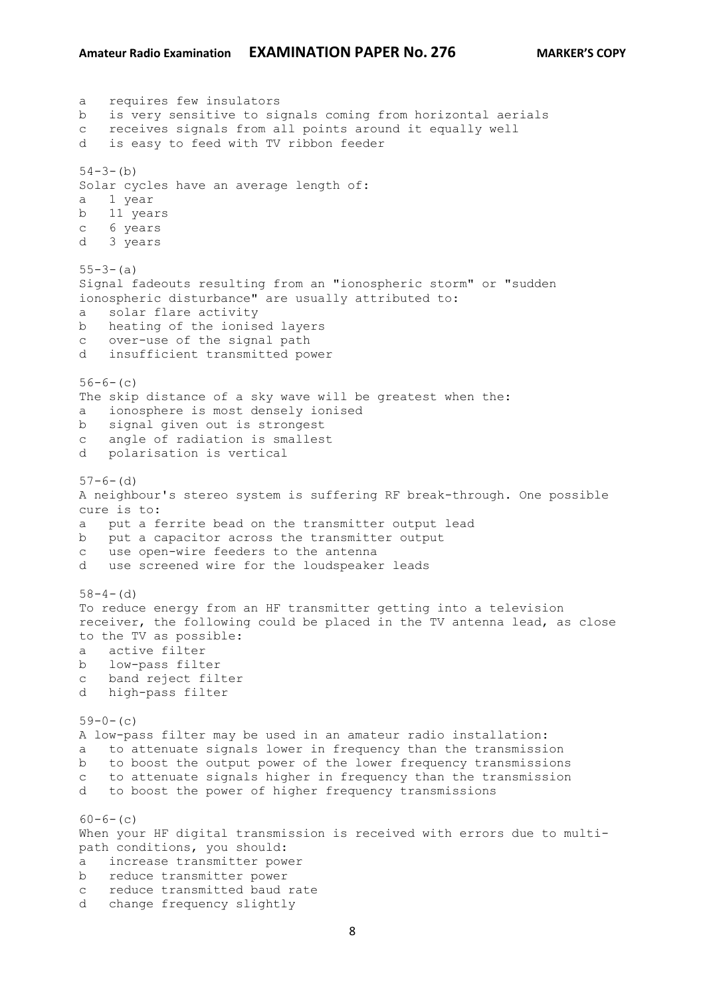a requires few insulators b is very sensitive to signals coming from horizontal aerials c receives signals from all points around it equally well d is easy to feed with TV ribbon feeder  $54-3-(b)$ Solar cycles have an average length of: a 1 year b 11 years c 6 years d 3 years  $55 - 3 - (a)$ Signal fadeouts resulting from an "ionospheric storm" or "sudden ionospheric disturbance" are usually attributed to: a solar flare activity b heating of the ionised layers c over-use of the signal path d insufficient transmitted power  $56-6-(c)$ The skip distance of a sky wave will be greatest when the: a ionosphere is most densely ionised b signal given out is strongest c angle of radiation is smallest d polarisation is vertical  $57-6-$  (d) A neighbour's stereo system is suffering RF break-through. One possible cure is to: a put a ferrite bead on the transmitter output lead b put a capacitor across the transmitter output c use open-wire feeders to the antenna d use screened wire for the loudspeaker leads  $58-4-$ (d) To reduce energy from an HF transmitter getting into a television receiver, the following could be placed in the TV antenna lead, as close to the TV as possible: a active filter b low-pass filter c band reject filter d high-pass filter  $59-0-$  (c) A low-pass filter may be used in an amateur radio installation: a to attenuate signals lower in frequency than the transmission b to boost the output power of the lower frequency transmissions c to attenuate signals higher in frequency than the transmission d to boost the power of higher frequency transmissions  $60-6-$  (c) When your HF digital transmission is received with errors due to multipath conditions, you should: a increase transmitter power b reduce transmitter power c reduce transmitted baud rate d change frequency slightly